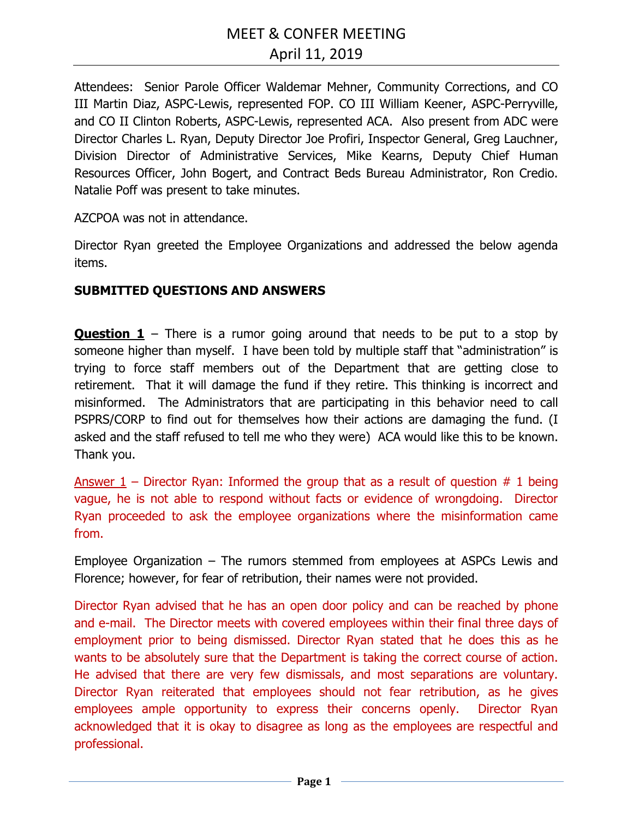Attendees: Senior Parole Officer Waldemar Mehner, Community Corrections, and CO III Martin Diaz, ASPC-Lewis, represented FOP. CO III William Keener, ASPC-Perryville, and CO II Clinton Roberts, ASPC-Lewis, represented ACA. Also present from ADC were Director Charles L. Ryan, Deputy Director Joe Profiri, Inspector General, Greg Lauchner, Division Director of Administrative Services, Mike Kearns, Deputy Chief Human Resources Officer, John Bogert, and Contract Beds Bureau Administrator, Ron Credio. Natalie Poff was present to take minutes.

AZCPOA was not in attendance.

Director Ryan greeted the Employee Organizations and addressed the below agenda items.

## **SUBMITTED QUESTIONS AND ANSWERS**

**Question 1** – There is a rumor going around that needs to be put to a stop by someone higher than myself. I have been told by multiple staff that "administration" is trying to force staff members out of the Department that are getting close to retirement. That it will damage the fund if they retire. This thinking is incorrect and misinformed. The Administrators that are participating in this behavior need to call PSPRS/CORP to find out for themselves how their actions are damaging the fund. (I asked and the staff refused to tell me who they were) ACA would like this to be known. Thank you.

Answer  $1$  – Director Ryan: Informed the group that as a result of question  $# 1$  being vague, he is not able to respond without facts or evidence of wrongdoing. Director Ryan proceeded to ask the employee organizations where the misinformation came from.

Employee Organization – The rumors stemmed from employees at ASPCs Lewis and Florence; however, for fear of retribution, their names were not provided.

Director Ryan advised that he has an open door policy and can be reached by phone and e-mail. The Director meets with covered employees within their final three days of employment prior to being dismissed. Director Ryan stated that he does this as he wants to be absolutely sure that the Department is taking the correct course of action. He advised that there are very few dismissals, and most separations are voluntary. Director Ryan reiterated that employees should not fear retribution, as he gives employees ample opportunity to express their concerns openly. Director Ryan acknowledged that it is okay to disagree as long as the employees are respectful and professional.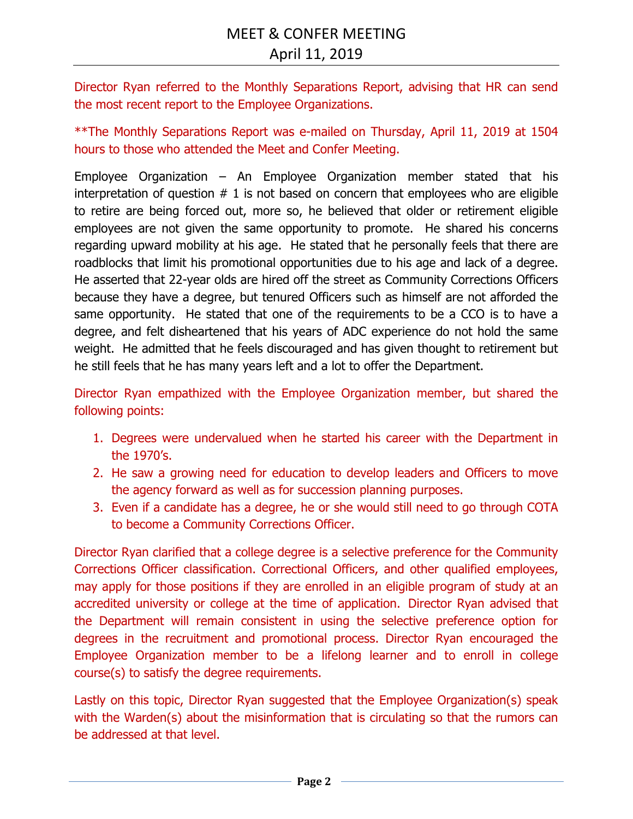Director Ryan referred to the Monthly Separations Report, advising that HR can send the most recent report to the Employee Organizations.

\*\*The Monthly Separations Report was e-mailed on Thursday, April 11, 2019 at 1504 hours to those who attended the Meet and Confer Meeting.

Employee Organization – An Employee Organization member stated that his interpretation of question  $# 1$  is not based on concern that employees who are eligible to retire are being forced out, more so, he believed that older or retirement eligible employees are not given the same opportunity to promote. He shared his concerns regarding upward mobility at his age. He stated that he personally feels that there are roadblocks that limit his promotional opportunities due to his age and lack of a degree. He asserted that 22-year olds are hired off the street as Community Corrections Officers because they have a degree, but tenured Officers such as himself are not afforded the same opportunity. He stated that one of the requirements to be a CCO is to have a degree, and felt disheartened that his years of ADC experience do not hold the same weight. He admitted that he feels discouraged and has given thought to retirement but he still feels that he has many years left and a lot to offer the Department.

Director Ryan empathized with the Employee Organization member, but shared the following points:

- 1. Degrees were undervalued when he started his career with the Department in the 1970's.
- 2. He saw a growing need for education to develop leaders and Officers to move the agency forward as well as for succession planning purposes.
- 3. Even if a candidate has a degree, he or she would still need to go through COTA to become a Community Corrections Officer.

Director Ryan clarified that a college degree is a selective preference for the Community Corrections Officer classification. Correctional Officers, and other qualified employees, may apply for those positions if they are enrolled in an eligible program of study at an accredited university or college at the time of application. Director Ryan advised that the Department will remain consistent in using the selective preference option for degrees in the recruitment and promotional process. Director Ryan encouraged the Employee Organization member to be a lifelong learner and to enroll in college course(s) to satisfy the degree requirements.

Lastly on this topic, Director Ryan suggested that the Employee Organization(s) speak with the Warden(s) about the misinformation that is circulating so that the rumors can be addressed at that level.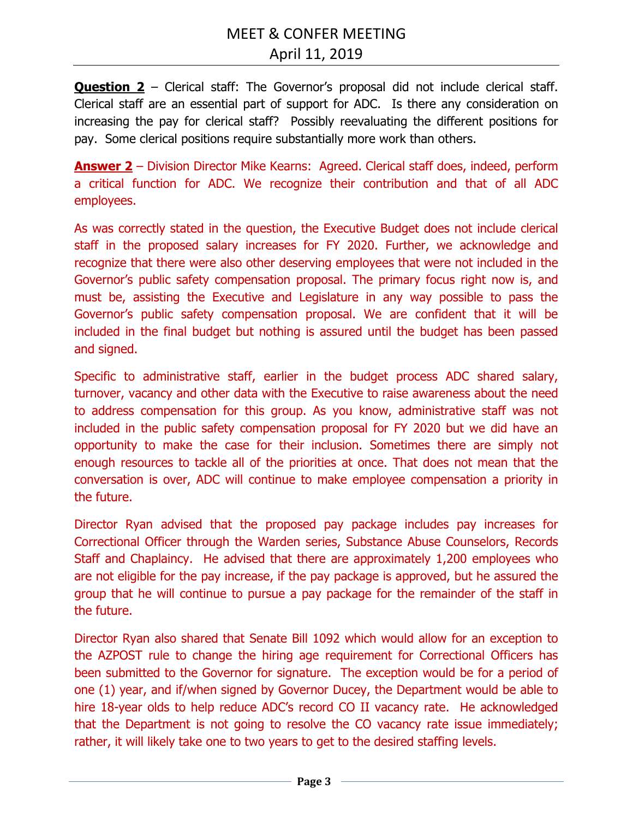**Question 2** – Clerical staff: The Governor's proposal did not include clerical staff. Clerical staff are an essential part of support for ADC. Is there any consideration on increasing the pay for clerical staff? Possibly reevaluating the different positions for pay. Some clerical positions require substantially more work than others.

**Answer 2** – Division Director Mike Kearns: Agreed. Clerical staff does, indeed, perform a critical function for ADC. We recognize their contribution and that of all ADC employees.

As was correctly stated in the question, the Executive Budget does not include clerical staff in the proposed salary increases for FY 2020. Further, we acknowledge and recognize that there were also other deserving employees that were not included in the Governor's public safety compensation proposal. The primary focus right now is, and must be, assisting the Executive and Legislature in any way possible to pass the Governor's public safety compensation proposal. We are confident that it will be included in the final budget but nothing is assured until the budget has been passed and signed.

Specific to administrative staff, earlier in the budget process ADC shared salary, turnover, vacancy and other data with the Executive to raise awareness about the need to address compensation for this group. As you know, administrative staff was not included in the public safety compensation proposal for FY 2020 but we did have an opportunity to make the case for their inclusion. Sometimes there are simply not enough resources to tackle all of the priorities at once. That does not mean that the conversation is over, ADC will continue to make employee compensation a priority in the future.

Director Ryan advised that the proposed pay package includes pay increases for Correctional Officer through the Warden series, Substance Abuse Counselors, Records Staff and Chaplaincy. He advised that there are approximately 1,200 employees who are not eligible for the pay increase, if the pay package is approved, but he assured the group that he will continue to pursue a pay package for the remainder of the staff in the future.

Director Ryan also shared that Senate Bill 1092 which would allow for an exception to the AZPOST rule to change the hiring age requirement for Correctional Officers has been submitted to the Governor for signature. The exception would be for a period of one (1) year, and if/when signed by Governor Ducey, the Department would be able to hire 18-year olds to help reduce ADC's record CO II vacancy rate. He acknowledged that the Department is not going to resolve the CO vacancy rate issue immediately; rather, it will likely take one to two years to get to the desired staffing levels.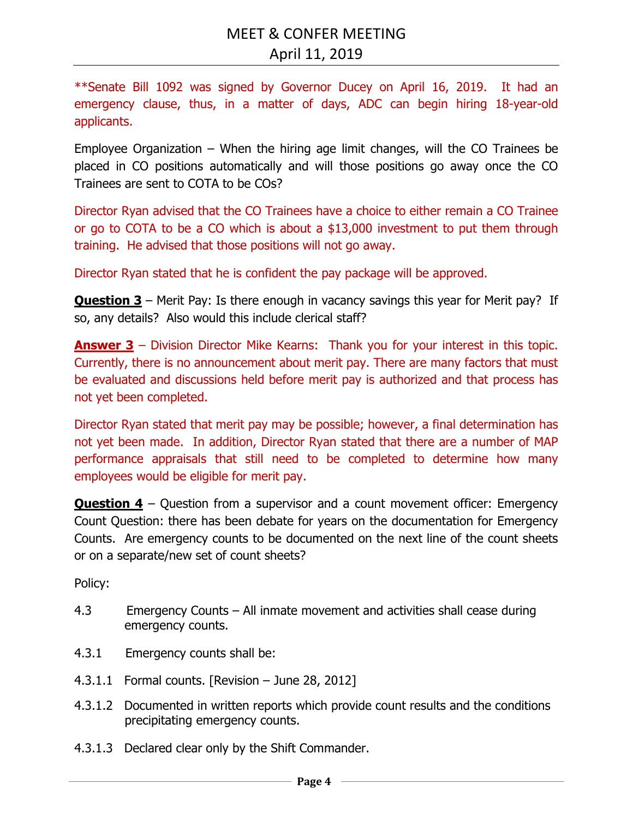\*\*Senate Bill 1092 was signed by Governor Ducey on April 16, 2019. It had an emergency clause, thus, in a matter of days, ADC can begin hiring 18-year-old applicants.

Employee Organization – When the hiring age limit changes, will the CO Trainees be placed in CO positions automatically and will those positions go away once the CO Trainees are sent to COTA to be COs?

Director Ryan advised that the CO Trainees have a choice to either remain a CO Trainee or go to COTA to be a CO which is about a \$13,000 investment to put them through training. He advised that those positions will not go away.

Director Ryan stated that he is confident the pay package will be approved.

**Question 3** – Merit Pay: Is there enough in vacancy savings this year for Merit pay? If so, any details? Also would this include clerical staff?

**Answer 3** – Division Director Mike Kearns: Thank you for your interest in this topic. Currently, there is no announcement about merit pay. There are many factors that must be evaluated and discussions held before merit pay is authorized and that process has not yet been completed.

Director Ryan stated that merit pay may be possible; however, a final determination has not yet been made. In addition, Director Ryan stated that there are a number of MAP performance appraisals that still need to be completed to determine how many employees would be eligible for merit pay.

**Question 4** – Question from a supervisor and a count movement officer: Emergency Count Question: there has been debate for years on the documentation for Emergency Counts. Are emergency counts to be documented on the next line of the count sheets or on a separate/new set of count sheets?

Policy:

- 4.3 Emergency Counts All inmate movement and activities shall cease during emergency counts.
- 4.3.1 Emergency counts shall be:
- 4.3.1.1 Formal counts. [Revision June 28, 2012]
- 4.3.1.2 Documented in written reports which provide count results and the conditions precipitating emergency counts.
- 4.3.1.3 Declared clear only by the Shift Commander.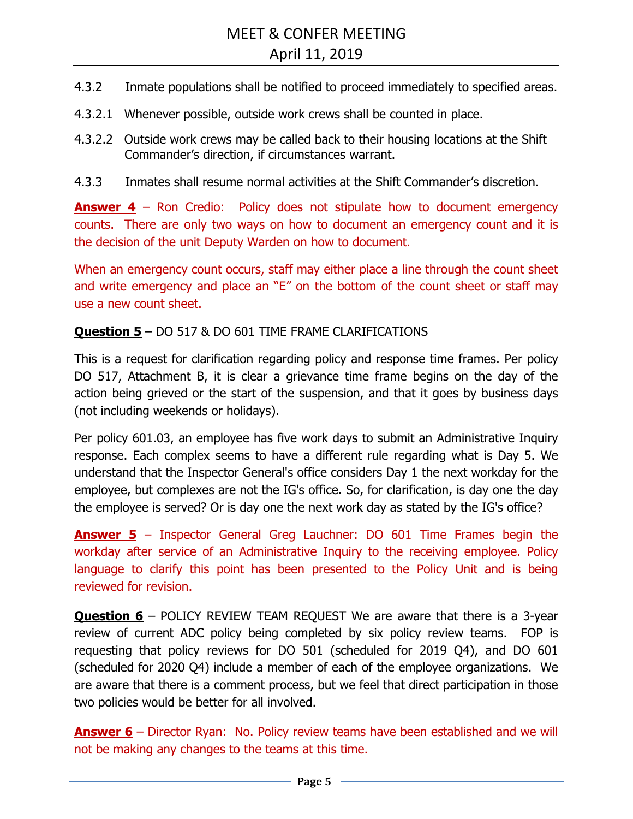- 4.3.2 Inmate populations shall be notified to proceed immediately to specified areas.
- 4.3.2.1 Whenever possible, outside work crews shall be counted in place.
- 4.3.2.2 Outside work crews may be called back to their housing locations at the Shift Commander's direction, if circumstances warrant.
- 4.3.3 Inmates shall resume normal activities at the Shift Commander's discretion.

**Answer 4** – Ron Credio: Policy does not stipulate how to document emergency counts. There are only two ways on how to document an emergency count and it is the decision of the unit Deputy Warden on how to document.

When an emergency count occurs, staff may either place a line through the count sheet and write emergency and place an "E" on the bottom of the count sheet or staff may use a new count sheet.

## **Question 5** – DO 517 & DO 601 TIME FRAME CLARIFICATIONS

This is a request for clarification regarding policy and response time frames. Per policy DO 517, Attachment B, it is clear a grievance time frame begins on the day of the action being grieved or the start of the suspension, and that it goes by business days (not including weekends or holidays).

Per policy 601.03, an employee has five work days to submit an Administrative Inquiry response. Each complex seems to have a different rule regarding what is Day 5. We understand that the Inspector General's office considers Day 1 the next workday for the employee, but complexes are not the IG's office. So, for clarification, is day one the day the employee is served? Or is day one the next work day as stated by the IG's office?

**Answer 5** – Inspector General Greg Lauchner: DO 601 Time Frames begin the workday after service of an Administrative Inquiry to the receiving employee. Policy language to clarify this point has been presented to the Policy Unit and is being reviewed for revision.

**Question 6** – POLICY REVIEW TEAM REQUEST We are aware that there is a 3-year review of current ADC policy being completed by six policy review teams. FOP is requesting that policy reviews for DO 501 (scheduled for 2019 Q4), and DO 601 (scheduled for 2020 Q4) include a member of each of the employee organizations. We are aware that there is a comment process, but we feel that direct participation in those two policies would be better for all involved.

**Answer 6** – Director Ryan: No. Policy review teams have been established and we will not be making any changes to the teams at this time.